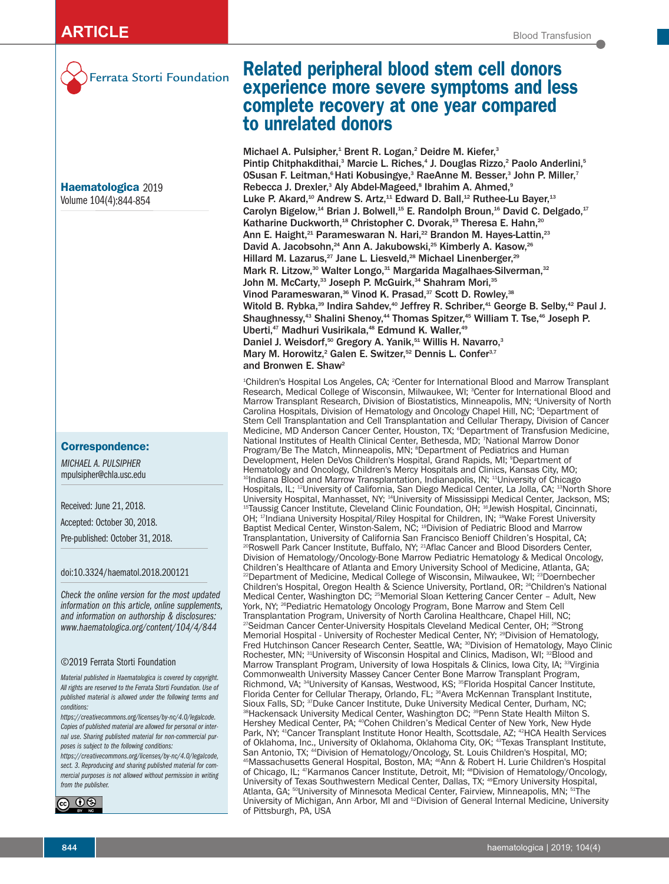

**Haematologica** 2019 Volume 104(4):844-854

# **Correspondence:**

*MICHAEL A. PULSIPHER* mpulsipher@chla.usc.edu

Received: June 21, 2018.

Accepted: October 30, 2018.

Pre-published: October 31, 2018.

doi:10.3324/haematol.2018.200121

*Check the online version for the most updated information on this article, online supplements, and information on authorship & disclosures: www.haematologica.org/content/104/4/844*

#### ©2019 Ferrata Storti Foundation

*Material published in Haematologica is covered by copyright. All rights are reserved to the Ferrata Storti Foundation. Use of published material is allowed under the following terms and conditions:* 

*https://creativecommons.org/licenses/by-nc/4.0/legalcode. Copies of published material are allowed for personal or internal use. Sharing published material for non-commercial purposes is subject to the following conditions:* 

*https://creativecommons.org/licenses/by-nc/4.0/legalcode, sect. 3. Reproducing and sharing published material for commercial purposes is not allowed without permission in writing from the publisher.*



# Ferrata Storti Foundation **Related peripheral blood stem cell donors experience more severe symptoms and less complete recovery at one year compared to unrelated donors**

Michael A. Pulsipher,<sup>1</sup> Brent R. Logan,<sup>2</sup> Deidre M. Kiefer,<sup>3</sup> Pintip Chitphakdithai,<sup>3</sup> Marcie L. Riches,<sup>4</sup> J. Douglas Rizzo,<sup>2</sup> Paolo Anderlini,<sup>5</sup> 0Susan F. Leitman, <sup>6</sup> Hati Kobusingye,<sup>3</sup> RaeAnne M. Besser,<sup>3</sup> John P. Miller,<sup>7</sup> Rebecca J. Drexler,<sup>3</sup> Aly Abdel-Mageed,<sup>8</sup> Ibrahim A. Ahmed,<sup>9</sup> Luke P. Akard,<sup>10</sup> Andrew S. Artz,<sup>11</sup> Edward D. Ball,<sup>12</sup> Ruthee-Lu Bayer,<sup>13</sup> Carolyn Bigelow,<sup>14</sup> Brian J. Bolwell,<sup>15</sup> E. Randolph Broun,<sup>16</sup> David C. Delgado,<sup>17</sup> Katharine Duckworth,<sup>18</sup> Christopher C. Dvorak,<sup>19</sup> Theresa E. Hahn,<sup>20</sup> Ann E. Haight,<sup>21</sup> Parameswaran N. Hari,<sup>22</sup> Brandon M. Hayes-Lattin,<sup>23</sup> David A. Jacobsohn,<sup>24</sup> Ann A. Jakubowski,<sup>25</sup> Kimberly A. Kasow,<sup>26</sup> Hillard M. Lazarus,<sup>27</sup> Jane L. Liesveld,<sup>28</sup> Michael Linenberger,<sup>29</sup> Mark R. Litzow,<sup>30</sup> Walter Longo,<sup>31</sup> Margarida Magalhaes-Silverman,<sup>32</sup> John M. McCarty, $^{\rm 33}$  Joseph P. McGuirk, $^{\rm 34}$  Shahram Mori, $^{\rm 35}$ Vinod Parameswaran,<sup>36</sup> Vinod K. Prasad,<sup>37</sup> Scott D. Rowley,<sup>38</sup> Witold B. Rybka,<sup>39</sup> Indira Sahdev,<sup>40</sup> Jeffrey R. Schriber,<sup>41</sup> George B. Selby,<sup>42</sup> Paul J. Shaughnessy,<sup>43</sup> Shalini Shenoy,<sup>44</sup> Thomas Spitzer,<sup>45</sup> William T. Tse,<sup>46</sup> Joseph P. Uberti,<sup>47</sup> Madhuri Vusirikala,<sup>48</sup> Edmund K. Waller,<sup>49</sup> Daniel J. Weisdorf,<sup>50</sup> Gregory A. Yanik,<sup>51</sup> Willis H. Navarro,<sup>3</sup> Mary M. Horowitz,<sup>2</sup> Galen E. Switzer,<sup>52</sup> Dennis L. Confer<sup>3,7</sup> and Bronwen E. Shaw<sup>2</sup>

1 Children's Hospital Los Angeles, CA; 2 Center for International Blood and Marrow Transplant Research, Medical College of Wisconsin, Milwaukee, WI; <sup>3</sup>Center for International Blood and Marrow Transplant Research, Division of Biostatistics, Minneapolis, MN; 4 University of North Carolina Hospitals, Division of Hematology and Oncology Chapel Hill, NC; 5 Department of Stem Cell Transplantation and Cell Transplantation and Cellular Therapy, Division of Cancer Medicine, MD Anderson Cancer Center, Houston, TX; 6 Department of Transfusion Medicine, National Institutes of Health Clinical Center, Bethesda, MD; 7 National Marrow Donor Program/Be The Match, Minneapolis, MN; <sup>s</sup>Department of Pediatrics and Human Development, Helen DeVos Children's Hospital, Grand Rapids, MI; 9 Department of Hematology and Oncology, Children's Mercy Hospitals and Clinics, Kansas City, MO; <sup>10</sup>Indiana Blood and Marrow Transplantation, Indianapolis, IN; <sup>11</sup>University of Chicago Hospitals, IL; <sup>12</sup>University of California, San Diego Medical Center, La Jolla, CA; <sup>13</sup>North Shore<br>University Hospital, Manhasset, NY; <sup>14</sup>University of Mississippi Medical Center, Jackson, MS; <sup>15</sup>Taussig Cancer Institute, Cleveland Clinic Foundation, OH; <sup>16</sup>Jewish Hospital, Cincinnati, OH; <sup>17</sup>Indiana University Hospital/Riley Hospital for Children, IN; <sup>18</sup>Wake Forest University Baptist Medical Center, Winston-Salem, NC; 19Division of Pediatric Blood and Marrow Transplantation, University of California San Francisco Benioff Children's Hospital, CA; <sup>20</sup>Roswell Park Cancer Institute, Buffalo, NY; <sup>21</sup>Aflac Cancer and Blood Disorders Center, Division of Hematology/Oncology-Bone Marrow Pediatric Hematology & Medical Oncology, Children's Healthcare of Atlanta and Emory University School of Medicine, Atlanta, GA; <sup>22</sup>Department of Medicine, Medical College of Wisconsin, Milwaukee, WI;  $23$ Doernbecher Children's Hospital, Oregon Health & Science University, Portland, OR; <sup>24</sup>Children's National Medical Center, Washington DC; 25Memorial Sloan Kettering Cancer Center – Adult, New York, NY; <sup>26</sup>Pediatric Hematology Oncology Program, Bone Marrow and Stem Cell Transplantation Program, University of North Carolina Healthcare, Chapel Hill, NC; <sup>27</sup>Seidman Cancer Center-University Hospitals Cleveland Medical Center, OH; <sup>28</sup>Strong Memorial Hospital - University of Rochester Medical Center, NY; <sup>29</sup>Division of Hematology, Fred Hutchinson Cancer Research Center, Seattle, WA; <sup>30</sup>Division of Hematology, Mayo Clinic Rochester, MN; <sup>31</sup>University of Wisconsin Hospital and Clinics, Madison, WI; <sup>32</sup>Blood and Marrow Transplant Program, University of Iowa Hospitals & Clinics, Iowa City, IA; <sup>33</sup>Virginia Commonwealth University Massey Cancer Center Bone Marrow Transplant Program, Richmond, VA; <sup>34</sup>University of Kansas, Westwood, KS; <sup>35</sup>Florida Hospital Cancer Institute, Florida Center for Cellular Therapy, Orlando, FL; <sup>36</sup>Avera McKennan Transplant Institute, Sioux Falls, SD; <sup>37</sup>Duke Cancer Institute, Duke University Medical Center, Durham, NC; 38Hackensack University Medical Center, Washington DC; <sup>39</sup>Penn State Health Milton S. Hershey Medical Center, PA; <sup>40</sup>Cohen Children's Medical Center of New York, New Hyde Park, NY; <sup>41</sup>Cancer Transplant Institute Honor Health, Scottsdale, AZ; <sup>42</sup>HCA Health Services of Oklahoma, Inc., University of Oklahoma, Oklahoma City, OK; 43Texas Transplant Institute, San Antonio, TX; <sup>44</sup>Division of Hematology/Oncology, St. Louis Children's Hospital, MO;<br><sup>45</sup>Massachusetts General Hospital, Boston, MA; <sup>46</sup>Ann & Robert H. Lurie Children's Hospital of Chicago, IL; <sup>47</sup>Karmanos Cancer Institute, Detroit, MI; <sup>48</sup>Division of Hematology/Oncology, University of Texas Southwestern Medical Center, Dallas, TX; 49Emory University Hospital, Atlanta, GA; <sup>50</sup>University of Minnesota Medical Center, Fairview, Minneapolis, MN; <sup>51</sup>The University of Michigan, Ann Arbor, MI and 52Division of General Internal Medicine, University of Pittsburgh, PA, USA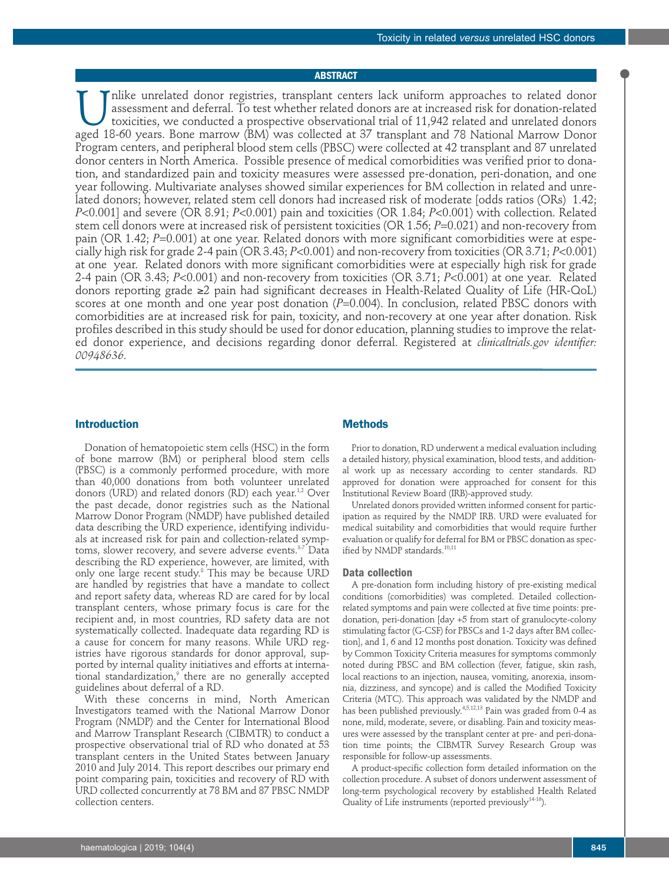# **ABSTRACT**

Inlike unrelated donor registries, transplant centers lack uniform approaches to related donor<br>assessment and deferral. To test whether related donors are at increased risk for donation-related<br>toxicities, we conducted a p assessment and deferral. To test whether related donors are at increased risk for donation-related toxicities, we conducted a prospective observational trial of 11,942 related and unrelated donors aged 18-60 years. Bone marrow (BM) was collected at 37 transplant and 78 National Marrow Donor Program centers, and peripheral blood stem cells (PBSC) were collected at 42 transplant and 87 unrelated donor centers in North America. Possible presence of medical comorbidities was verified prior to donation, and standardized pain and toxicity measures were assessed pre-donation, peri-donation, and one year following. Multivariate analyses showed similar experiences for BM collection in related and unrelated donors; however, related stem cell donors had increased risk of moderate [odds ratios (ORs) 1.42; *P*<0.001] and severe (OR 8.91; *P*<0.001) pain and toxicities (OR 1.84; *P*<0.001) with collection. Related stem cell donors were at increased risk of persistent toxicities (OR 1.56; *P*=0.021) and non-recovery from pain (OR 1.42; *P*=0.001) at one year. Related donors with more significant comorbidities were at especially high risk for grade 2-4 pain (OR 3.43; *P*<0.001) and non-recovery from toxicities (OR 3.71; *P*<0.001) at one year. Related donors with more significant comorbidities were at especially high risk for grade 2-4 pain (OR 3.43; *P*<0.001) and non-recovery from toxicities (OR 3.71; *P*<0.001) at one year. Related donors reporting grade ≥2 pain had significant decreases in Health-Related Quality of Life (HR-QoL) scores at one month and one year post donation (P=0.004). In conclusion, related PBSC donors with comorbidities are at increased risk for pain, toxicity, and non-recovery at one year after donation. Risk profiles described in this study should be used for donor education, planning studies to improve the related donor experience, and decisions regarding donor deferral. Registered at *clinicaltrials.gov identifier: 00948636.*

# **Introduction**

Donation of hematopoietic stem cells (HSC) in the form of bone marrow (BM) or peripheral blood stem cells (PBSC) is a commonly performed procedure, with more than 40,000 donations from both volunteer unrelated donors (URD) and related donors (RD) each year.<sup>1,2</sup> Over the past decade, donor registries such as the National Marrow Donor Program (NMDP) have published detailed data describing the URD experience, identifying individuals at increased risk for pain and collection-related symptoms, slower recovery, and severe adverse events.<sup>3-7</sup> Data describing the RD experience, however, are limited, with only one large recent study.8 This may be because URD are handled by registries that have a mandate to collect and report safety data, whereas RD are cared for by local transplant centers, whose primary focus is care for the recipient and, in most countries, RD safety data are not systematically collected. Inadequate data regarding RD is a cause for concern for many reasons. While URD registries have rigorous standards for donor approval, supported by internal quality initiatives and efforts at international standardization, there are no generally accepted guidelines about deferral of a RD.

With these concerns in mind, North American Investigators teamed with the National Marrow Donor Program (NMDP) and the Center for International Blood and Marrow Transplant Research (CIBMTR) to conduct a prospective observational trial of RD who donated at 53 transplant centers in the United States between January 2010 and July 2014. This report describes our primary end point comparing pain, toxicities and recovery of RD with URD collected concurrently at 78 BM and 87 PBSC NMDP collection centers.

### **Methods**

Prior to donation, RD underwent a medical evaluation including a detailed history, physical examination, blood tests, and additional work up as necessary according to center standards. RD approved for donation were approached for consent for this Institutional Review Board (IRB)-approved study.

Unrelated donors provided written informed consent for participation as required by the NMDP IRB. URD were evaluated for medical suitability and comorbidities that would require further evaluation or qualify for deferral for BM or PBSC donation as specified by NMDP standards.<sup>10,11</sup>

# **Data collection**

A pre-donation form including history of pre-existing medical conditions (comorbidities) was completed. Detailed collectionrelated symptoms and pain were collected at five time points: predonation, peri-donation [day +5 from start of granulocyte-colony stimulating factor (G-CSF) for PBSCs and 1-2 days after BM collection], and 1, 6 and 12 months post donation. Toxicity was defined by Common Toxicity Criteria measures for symptoms commonly noted during PBSC and BM collection (fever, fatigue, skin rash, local reactions to an injection, nausea, vomiting, anorexia, insomnia, dizziness, and syncope) and is called the Modified Toxicity Criteria (MTC). This approach was validated by the NMDP and has been published previously.<sup>4,5,12,13</sup> Pain was graded from 0-4 as none, mild, moderate, severe, or disabling. Pain and toxicity measures were assessed by the transplant center at pre- and peri-donation time points; the CIBMTR Survey Research Group was responsible for follow-up assessments.

A product-specific collection form detailed information on the collection procedure. A subset of donors underwent assessment of long-term psychological recovery by established Health Related Quality of Life instruments (reported previously $14-16$ ).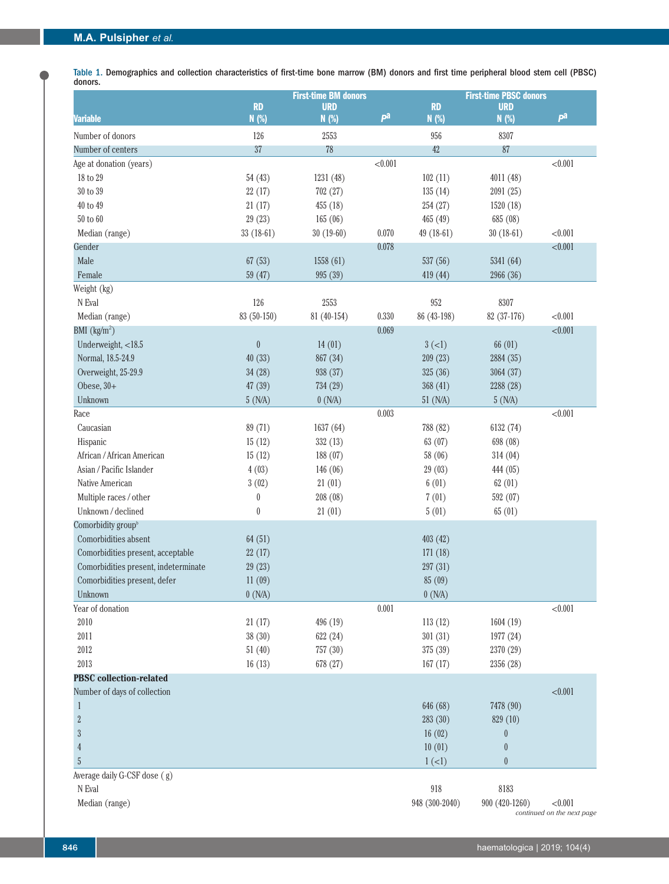Table 1. Demographics and collection characteristics of first-time bone marrow (BM) donors and first time peripheral blood stem cell (PBSC) donors.

|                                                     |                  | <b>First-time BM donors</b> |         |                | <b>First-time PBSC donors</b> |         |  |  |
|-----------------------------------------------------|------------------|-----------------------------|---------|----------------|-------------------------------|---------|--|--|
| <b>Variable</b>                                     | <b>RD</b>        | <b>URD</b>                  | pa      | <b>RD</b>      | <b>URD</b>                    | pa      |  |  |
|                                                     | N (%)            | N (%)                       |         | N(%)           | N (%)                         |         |  |  |
| Number of donors                                    | 126              | 2553                        |         | 956            | 8307                          |         |  |  |
| Number of centers                                   | 37               | 78                          |         | 42             | 87                            |         |  |  |
| Age at donation (years)                             |                  |                             | < 0.001 |                |                               | < 0.001 |  |  |
| 18 to 29                                            | 54(43)           | 1231 (48)                   |         | 102(11)        | 4011 (48)                     |         |  |  |
| $30$ to $39\,$                                      | 22(17)           | 702 (27)                    |         | 135(14)        | 2091 (25)                     |         |  |  |
| 40 to 49                                            | 21(17)           | 455 (18)                    |         | 254 (27)       | 1520 (18)                     |         |  |  |
| $50$ to $60\,$                                      | 29(23)           | 165(06)                     |         | 465 (49)       | 685 (08)                      |         |  |  |
| Median (range)                                      | 33 (18-61)       | $30(19-60)$                 | 0.070   | 49 (18-61)     | $30(18-61)$                   | < 0.001 |  |  |
| Gender                                              |                  |                             | 0.078   |                |                               | < 0.001 |  |  |
| Male                                                | 67(53)           | 1558 (61)                   |         | 537 (56)       | 5341 (64)                     |         |  |  |
| Female                                              | 59(47)           | 995 (39)                    |         | 419 (44)       | 2966 (36)                     |         |  |  |
| Weight (kg)<br>N Eval                               | 126              | 2553                        |         | 952            | 8307                          |         |  |  |
|                                                     | 83 (50-150)      | 81 (40-154)                 | 0.330   | 86 (43-198)    | 82 (37-176)                   | < 0.001 |  |  |
| Median (range)<br>BMI $\left(\frac{kg}{m^2}\right)$ |                  |                             | 0.069   |                |                               | < 0.001 |  |  |
| Underweight, <18.5                                  | $\boldsymbol{0}$ | 14(01)                      |         | $3(-1)$        | 66 (01)                       |         |  |  |
| Normal, 18.5-24.9                                   | 40(33)           | 867 (34)                    |         | 209(23)        | 2884 (35)                     |         |  |  |
| Overweight, 25-29.9                                 | 34(28)           | 938 (37)                    |         | 325 (36)       | 3064 (37)                     |         |  |  |
| Obese, $30+$                                        | 47 (39)          | 734 (29)                    |         | 368 (41)       | 2288 (28)                     |         |  |  |
| Unknown                                             | 5(N/A)           | 0(N/A)                      |         | 51 (N/A)       | 5(N/A)                        |         |  |  |
| Race                                                |                  |                             | 0.003   |                |                               | < 0.001 |  |  |
| Caucasian                                           | 89 (71)          | 1637 (64)                   |         | 788 (82)       | 6132 (74)                     |         |  |  |
| Hispanic                                            | 15(12)           | 332 (13)                    |         | 63 (07)        | 698 (08)                      |         |  |  |
| African / African American                          | 15(12)           | 188 (07)                    |         | 58 (06)        | 314(04)                       |         |  |  |
| Asian / Pacific Islander                            | 4(03)            | 146 (06)                    |         | 29 (03)        | 444 (05)                      |         |  |  |
| Native American                                     | 3(02)            | 21(01)                      |         | 6(01)          | 62(01)                        |         |  |  |
| Multiple races / other                              | $\boldsymbol{0}$ | 208 (08)                    |         | 7(01)          | 592 (07)                      |         |  |  |
| Unknown / declined                                  | $\boldsymbol{0}$ | 21(01)                      |         | 5(01)          | 65(01)                        |         |  |  |
| Comorbidity group <sup>b</sup>                      |                  |                             |         |                |                               |         |  |  |
| Comorbidities absent                                | 64(51)           |                             |         | 403 (42)       |                               |         |  |  |
| Comorbidities present, acceptable                   | 22(17)           |                             |         | 171(18)        |                               |         |  |  |
| Comorbidities present, indeterminate                | 29(23)           |                             |         | 297 (31)       |                               |         |  |  |
| Comorbidities present, defer                        | 11(09)           |                             |         | 85 (09)        |                               |         |  |  |
| Unknown                                             | 0(N/A)           |                             |         | 0(N/A)         |                               |         |  |  |
| Year of donation                                    |                  |                             | 0.001   |                |                               | < 0.001 |  |  |
| 2010                                                | 21(17)           | 496 (19)                    |         | 113(12)        | 1604 (19)                     |         |  |  |
| 2011                                                | 38(30)           | 622 (24)                    |         | 301 (31)       | 1977 (24)                     |         |  |  |
| 2012                                                | 51(40)           | 757 (30)                    |         | 375 (39)       | 2370 (29)                     |         |  |  |
| 2013                                                | 16(13)           | 678 (27)                    |         | 167(17)        | 2356 (28)                     |         |  |  |
| <b>PBSC</b> collection-related                      |                  |                             |         |                |                               |         |  |  |
| Number of days of collection                        |                  |                             |         |                |                               | < 0.001 |  |  |
| $\mathbf{1}$                                        |                  |                             |         | 646 (68)       | 7478 (90)                     |         |  |  |
| $\overline{2}$                                      |                  |                             |         | 283 (30)       | 829 (10)                      |         |  |  |
| $\sqrt{3}$                                          |                  |                             |         | 16(02)         | $\boldsymbol{0}$              |         |  |  |
| $\overline{4}$                                      |                  |                             |         | 10(01)         | $\boldsymbol{0}$              |         |  |  |
| $\sqrt{5}$                                          |                  |                             |         | $1(-1)$        | $\theta$                      |         |  |  |
| Average daily G-CSF dose (g)                        |                  |                             |         |                |                               |         |  |  |
| N Eval                                              |                  |                             |         | 918            | 8183                          |         |  |  |
| Median (range)                                      |                  |                             |         | 948 (300-2040) | 900 (420-1260)                | < 0.001 |  |  |

*continued on the next page*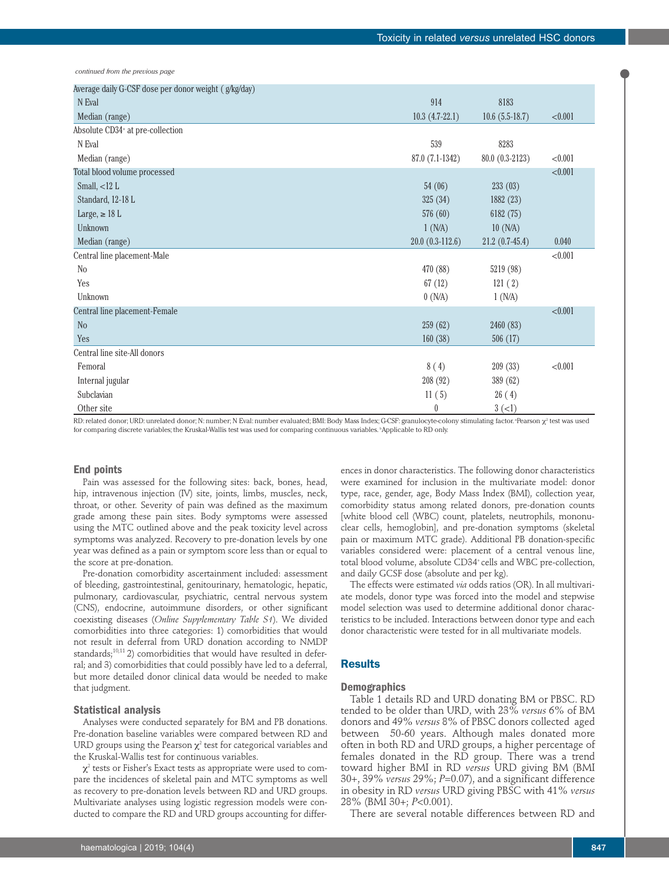*continued from the previous page*

| Average daily G-CSF dose per donor weight (g/kg/day) |                   |                  |         |
|------------------------------------------------------|-------------------|------------------|---------|
| N Eval                                               | 914               | 8183             |         |
| Median (range)                                       | $10.3(4.7-22.1)$  | $10.6(5.5-18.7)$ | < 0.001 |
| Absolute CD34 <sup>+</sup> at pre-collection         |                   |                  |         |
| N Eval                                               | 539               | 8283             |         |
| Median (range)                                       | 87.0 (7.1-1342)   | 80.0 (0.3-2123)  | < 0.001 |
| Total blood volume processed                         |                   |                  | < 0.001 |
| Small, $<$ 12 L                                      | 54(06)            | 233(03)          |         |
| Standard, 12-18 L                                    | 325(34)           | 1882 (23)        |         |
| Large, $\geq$ 18 L                                   | 576 (60)          | 6182 (75)        |         |
| Unknown                                              | 1(N/A)            | 10(N/A)          |         |
| Median (range)                                       | $20.0(0.3-112.6)$ | $21.2(0.7-45.4)$ | 0.040   |
| Central line placement-Male                          |                   |                  | < 0.001 |
| N <sub>o</sub>                                       | 470 (88)          | 5219 (98)        |         |
| Yes                                                  | 67(12)            | 121(2)           |         |
| Unknown                                              | 0(N/A)            | 1(N/A)           |         |
| Central line placement-Female                        |                   |                  | < 0.001 |
| N <sub>o</sub>                                       | 259(62)           | 2460 (83)        |         |
| Yes                                                  | 160(38)           | 506 (17)         |         |
| Central line site-All donors                         |                   |                  |         |
| Femoral                                              | 8(4)              | 209(33)          | < 0.001 |
| Internal jugular                                     | 208 (92)          | 389 (62)         |         |
| Subclavian                                           | 11(5)             | 26(4)            |         |
| Other site                                           | $\theta$          | $3(-1)$          |         |

RD: related donor; URD: unrelated donor; N: number; N Eval: number evaluated; BMI: Body Mass Index; G-CSF: granulocyte-colony stimulating factor. "Pearson  $\chi^{\scriptscriptstyle 2}$  test was used for comparing discrete variables; the Kruskal-Wallis test was used for comparing continuous variables. *'Applicable to RD* only.

### **End points**

Pain was assessed for the following sites: back, bones, head, hip, intravenous injection (IV) site, joints, limbs, muscles, neck, throat, or other. Severity of pain was defined as the maximum grade among these pain sites. Body symptoms were assessed using the MTC outlined above and the peak toxicity level across symptoms was analyzed. Recovery to pre-donation levels by one year was defined as a pain or symptom score less than or equal to the score at pre-donation.

Pre-donation comorbidity ascertainment included: assessment of bleeding, gastrointestinal, genitourinary, hematologic, hepatic, pulmonary, cardiovascular, psychiatric, central nervous system (CNS), endocrine, autoimmune disorders, or other significant coexisting diseases (*Online Supplementary Table S1*). We divided comorbidities into three categories: 1) comorbidities that would not result in deferral from URD donation according to NMDP standards;<sup>10,11</sup> 2) comorbidities that would have resulted in deferral; and 3) comorbidities that could possibly have led to a deferral, but more detailed donor clinical data would be needed to make that judgment.

### **Statistical analysis**

Analyses were conducted separately for BM and PB donations. Pre-donation baseline variables were compared between RD and URD groups using the Pearson  $\chi^2$  test for categorical variables and the Kruskal-Wallis test for continuous variables.

 $\chi^2$  tests or Fisher's Exact tests as appropriate were used to compare the incidences of skeletal pain and MTC symptoms as well as recovery to pre-donation levels between RD and URD groups. Multivariate analyses using logistic regression models were conducted to compare the RD and URD groups accounting for differ-

ences in donor characteristics. The following donor characteristics were examined for inclusion in the multivariate model: donor type, race, gender, age, Body Mass Index (BMI), collection year, comorbidity status among related donors, pre-donation counts [white blood cell (WBC) count, platelets, neutrophils, mononuclear cells, hemoglobin], and pre-donation symptoms (skeletal pain or maximum MTC grade). Additional PB donation-specific variables considered were: placement of a central venous line, total blood volume, absolute CD34<sup>+</sup> cells and WBC pre-collection, and daily GCSF dose (absolute and per kg).

The effects were estimated *via* odds ratios (OR). In all multivariate models, donor type was forced into the model and stepwise model selection was used to determine additional donor characteristics to be included. Interactions between donor type and each donor characteristic were tested for in all multivariate models.

# **Results**

# **Demographics**

Table 1 details RD and URD donating BM or PBSC. RD tended to be older than URD, with 23% *versus* 6% of BM donors and 49% *versus* 8% of PBSC donors collected aged between 50-60 years. Although males donated more often in both RD and URD groups, a higher percentage of females donated in the RD group. There was a trend toward higher BMI in RD *versus* URD giving BM (BMI 30+, 39% *versus* 29%; *P*=0.07), and a significant difference in obesity in RD *versus* URD giving PBSC with 41% *versus* 28% (BMI 30+; *P*<0.001).

There are several notable differences between RD and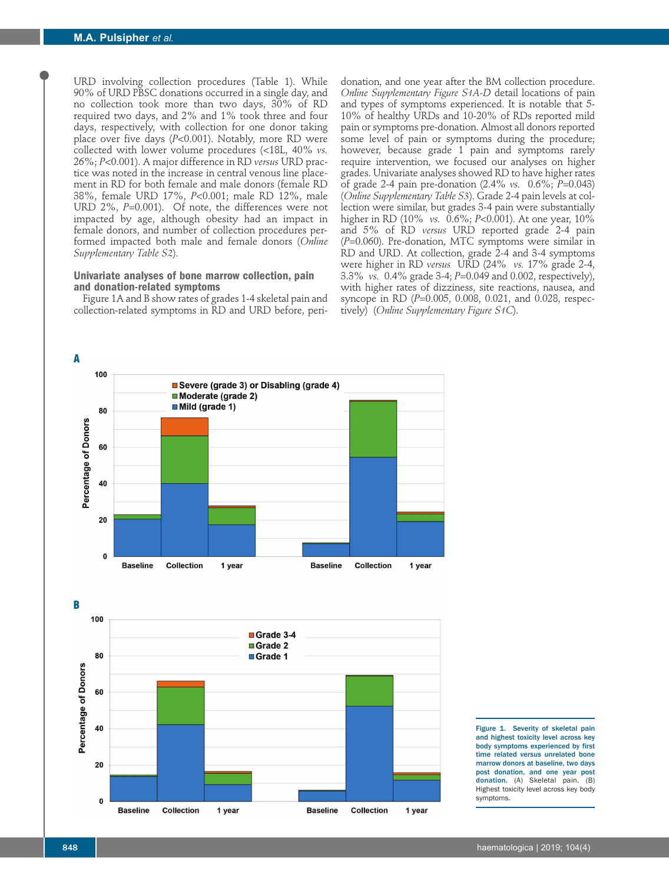URD involving collection procedures (Table 1). While 90% of URD PBSC donations occurred in a single day, and no collection took more than two days, 30% of RD required two days, and 2% and 1% took three and four days, respectively, with collection for one donor taking place over five days (*P*<0.001). Notably, more RD were collected with lower volume procedures (<18L, 40% *vs.* 26%; *P*<0.001). A major difference in RD *versus* URD practice was noted in the increase in central venous line placement in RD for both female and male donors (female RD 38%, female URD 17%, *P*<0.001; male RD 12%, male URD 2%, *P*=0.001). Of note, the differences were not impacted by age, although obesity had an impact in female donors, and number of collection procedures performed impacted both male and female donors (*Online Supplementary Table S2*).

# **Univariate analyses of bone marrow collection, pain and donation-related symptoms**

Figure 1A and B show rates of grades 1-4 skeletal pain and collection-related symptoms in RD and URD before, peri-

donation, and one year after the BM collection procedure. *Online Supplementary Figure S1A-D* detail locations of pain and types of symptoms experienced. It is notable that 5- 10% of healthy URDs and 10-20% of RDs reported mild pain or symptoms pre-donation. Almost all donors reported some level of pain or symptoms during the procedure; however, because grade 1 pain and symptoms rarely require intervention, we focused our analyses on higher grades. Univariate analyses showed RD to have higher rates of grade 2-4 pain pre-donation (2.4% *vs.* 0.6%; *P*=0.043) (*Online Supplementary Table S3*). Grade 2-4 pain levels at collection were similar, but grades 3-4 pain were substantially higher in RD (10% *vs.* 0.6%; *P*<0.001). At one year, 10% and 5% of RD *versus* URD reported grade 2-4 pain (*P*=0.060). Pre-donation, MTC symptoms were similar in RD and URD. At collection, grade 2-4 and 3-4 symptoms were higher in RD *versus* URD (24% *vs.* 17% grade 2-4, 3.3% *vs.* 0.4% grade 3-4; *P*=0.049 and 0.002, respectively), with higher rates of dizziness, site reactions, nausea, and syncope in RD (*P*=0.005, 0.008, 0.021, and 0.028, respectively) (*Online Supplementary Figure S1C*).





Figure 1. Severity of skeletal pain and highest toxicity level across key body symptoms experienced by first time related *versus* unrelated bone marrow donors at baseline, two days post donation, and one year post donation. (A) Skeletal pain. (B) Highest toxicity level across key body symptoms.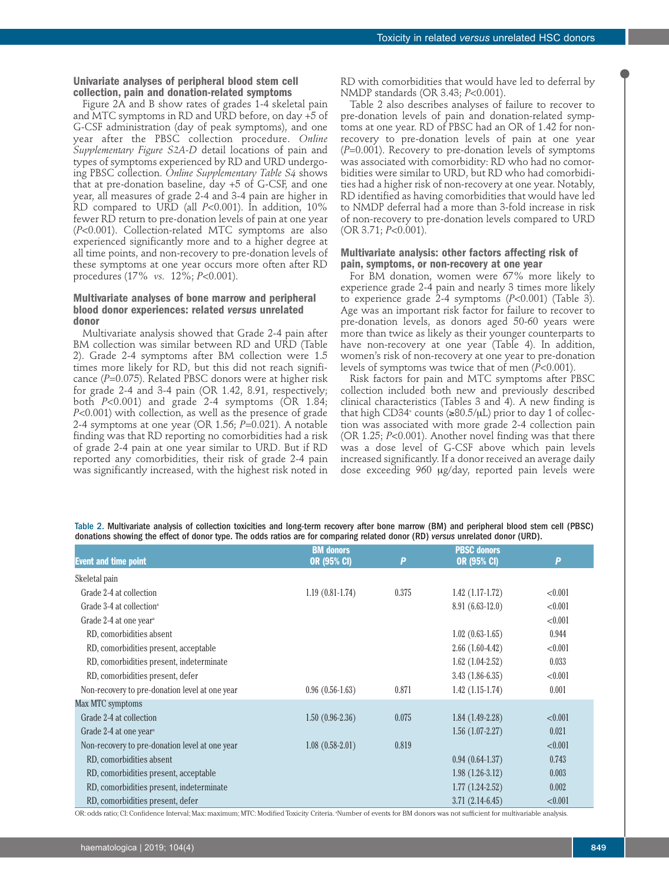### **Univariate analyses of peripheral blood stem cell collection, pain and donation-related symptoms**

Figure 2A and B show rates of grades 1-4 skeletal pain and MTC symptoms in RD and URD before, on day +5 of G-CSF administration (day of peak symptoms), and one year after the PBSC collection procedure. *Online Supplementary Figure S2A-D* detail locations of pain and types of symptoms experienced by RD and URD undergoing PBSC collection. *Online Supplementary Table S4* shows that at pre-donation baseline, day +5 of G-CSF, and one year, all measures of grade 2-4 and 3-4 pain are higher in RD compared to URD (all *P*<0.001). In addition, 10% fewer RD return to pre-donation levels of pain at one year (*P*<0.001). Collection-related MTC symptoms are also experienced significantly more and to a higher degree at all time points, and non-recovery to pre-donation levels of these symptoms at one year occurs more often after RD procedures (17% *vs.* 12%; *P*<0.001).

# **Multivariate analyses of bone marrow and peripheral blood donor experiences: related** *versus* **unrelated donor**

Multivariate analysis showed that Grade 2-4 pain after BM collection was similar between RD and URD (Table 2). Grade 2-4 symptoms after BM collection were 1.5 times more likely for RD, but this did not reach significance (P=0.075). Related PBSC donors were at higher risk for grade 2-4 and 3-4 pain (OR 1.42, 8.91, respectively; both *P*<0.001) and grade 2-4 symptoms (OR 1.84; *P*<0.001) with collection, as well as the presence of grade 2-4 symptoms at one year (OR 1.56; *P*=0.021). A notable finding was that RD reporting no comorbidities had a risk of grade 2-4 pain at one year similar to URD. But if RD reported any comorbidities, their risk of grade 2-4 pain was significantly increased, with the highest risk noted in

RD with comorbidities that would have led to deferral by NMDP standards (OR 3.43; *P*<0.001).

Table 2 also describes analyses of failure to recover to pre-donation levels of pain and donation-related symptoms at one year. RD of PBSC had an OR of 1.42 for nonrecovery to pre-donation levels of pain at one year (*P*=0.001). Recovery to pre-donation levels of symptoms was associated with comorbidity: RD who had no comorbidities were similar to URD, but RD who had comorbidities had a higher risk of non-recovery at one year. Notably, RD identified as having comorbidities that would have led to NMDP deferral had a more than 3-fold increase in risk of non-recovery to pre-donation levels compared to URD (OR 3.71; *P*<0.001).

# **Multivariate analysis: other factors affecting risk of pain, symptoms, or non-recovery at one year**

For BM donation, women were 67% more likely to experience grade 2-4 pain and nearly 3 times more likely to experience grade 2-4 symptoms (*P*<0.001) (Table 3). Age was an important risk factor for failure to recover to pre-donation levels, as donors aged 50-60 years were more than twice as likely as their younger counterparts to have non-recovery at one year (Table 4). In addition, women's risk of non-recovery at one year to pre-donation levels of symptoms was twice that of men (*P*<0.001).

Risk factors for pain and MTC symptoms after PBSC collection included both new and previously described clinical characteristics (Tables 3 and 4). A new finding is that high CD34+ counts ( $\geq 80.5/\mu L$ ) prior to day 1 of collection was associated with more grade 2-4 collection pain (OR 1.25; *P*<0.001). Another novel finding was that there was a dose level of G-CSF above which pain levels increased significantly. If a donor received an average daily dose exceeding 960 mg/day, reported pain levels were

Table 2. Multivariate analysis of collection toxicities and long-term recovery after bone marrow (BM) and peripheral blood stem cell (PBSC) donations showing the effect of donor type. The odds ratios are for comparing related donor (RD) *versus* unrelated donor (URD).

|                                                 | <b>BM</b> donors  |       | <b>PBSC donors</b> |         |
|-------------------------------------------------|-------------------|-------|--------------------|---------|
| <b>Event and time point</b>                     | OR (95% CI)       | P     | <b>OR (95% CI)</b> | P       |
| Skeletal pain                                   |                   |       |                    |         |
| Grade 2-4 at collection                         | $1.19(0.81-1.74)$ | 0.375 | $1.42(1.17-1.72)$  | < 0.001 |
| Grade 3-4 at collection <sup>a</sup>            |                   |       | $8.91(6.63-12.0)$  | < 0.001 |
| Grade 2-4 at one year <sup>a</sup>              |                   |       |                    | < 0.001 |
| RD, comorbidities absent                        |                   |       | $1.02(0.63-1.65)$  | 0.944   |
| RD, comorbidities present, acceptable           |                   |       | $2.66(1.60-4.42)$  | < 0.001 |
| RD, comorbidities present, indeterminate        |                   |       | $1.62(1.04-2.52)$  | 0.033   |
| RD, comorbidities present, defer                |                   |       | $3.43(1.86-6.35)$  | < 0.001 |
| Non-recovery to pre-donation level at one year  | $0.96(0.56-1.63)$ | 0.871 | $1.42(1.15-1.74)$  | 0.001   |
| Max MTC symptoms                                |                   |       |                    |         |
| Grade 2-4 at collection                         | $1.50(0.96-2.36)$ | 0.075 | $1.84(1.49-2.28)$  | < 0.001 |
| Grade 2-4 at one year <sup><math>a</math></sup> |                   |       | $1.56(1.07-2.27)$  | 0.021   |
| Non-recovery to pre-donation level at one year  | $1.08(0.58-2.01)$ | 0.819 |                    | < 0.001 |
| RD, comorbidities absent                        |                   |       | $0.94(0.64-1.37)$  | 0.743   |
| RD, comorbidities present, acceptable           |                   |       | $1.98(1.26-3.12)$  | 0.003   |
| RD, comorbidities present, indeterminate        |                   |       | $1.77(1.24-2.52)$  | 0.002   |
| RD, comorbidities present, defer                |                   |       | $3.71(2.14-6.45)$  | < 0.001 |

OR: odds ratio; CI: Confidence Interval; Max: maximum; MTC: Modified Toxicity Criteria. "Number of events for BM donors was not sufficient for multivariable analysis.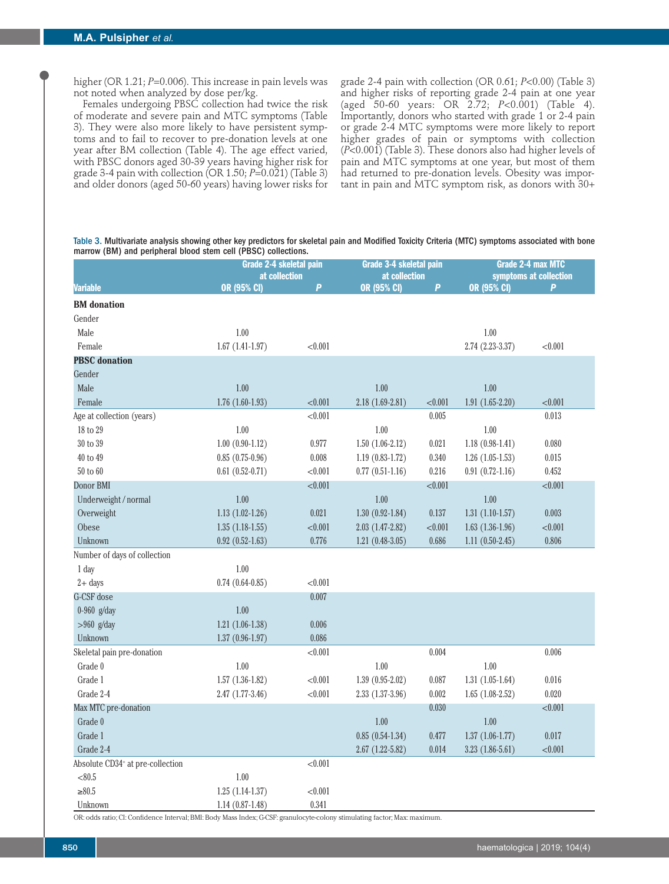higher (OR 1.21; *P*=0.006). This increase in pain levels was not noted when analyzed by dose per/kg.

Females undergoing PBSC collection had twice the risk of moderate and severe pain and MTC symptoms (Table 3). They were also more likely to have persistent symptoms and to fail to recover to pre-donation levels at one year after BM collection (Table 4). The age effect varied, with PBSC donors aged 30-39 years having higher risk for grade 3-4 pain with collection (OR  $1.50; P=0.021$ ) (Table 3) and older donors (aged 50-60 years) having lower risks for grade 2-4 pain with collection (OR 0.61; *P*<0.00) (Table 3) and higher risks of reporting grade 2-4 pain at one year (aged 50-60 years: OR 2.72; *P*<0.001) (Table 4). Importantly, donors who started with grade 1 or 2-4 pain or grade 2-4 MTC symptoms were more likely to report higher grades of pain or symptoms with collection (*P*<0.001) (Table 3). These donors also had higher levels of pain and MTC symptoms at one year, but most of them had returned to pre-donation levels. Obesity was important in pain and MTC symptom risk, as donors with 30+

Table 3. Multivariate analysis showing other key predictors for skeletal pain and Modified Toxicity Criteria (MTC) symptoms associated with bone marrow (BM) and peripheral blood stem cell (PBSC) collections.

|                                              |                     | Grade 2-4 skeletal pain |                                   | Grade 3-4 skeletal pain | <b>Grade 2-4 max MTC</b> |                             |  |
|----------------------------------------------|---------------------|-------------------------|-----------------------------------|-------------------------|--------------------------|-----------------------------|--|
|                                              | at collection       | $\overline{P}$          | at collection<br>OR (95% CI)<br>P |                         |                          | symptoms at collection<br>P |  |
| <b>Variable</b>                              | OR (95% CI)         |                         |                                   |                         | <b>OR (95% CI)</b>       |                             |  |
| <b>BM</b> donation                           |                     |                         |                                   |                         |                          |                             |  |
| Gender                                       |                     |                         |                                   |                         |                          |                             |  |
| Male                                         | $1.00$              |                         |                                   |                         | 1.00                     |                             |  |
| Female                                       | $1.67(1.41-1.97)$   | < 0.001                 |                                   |                         | 2.74 (2.23-3.37)         | < 0.001                     |  |
| <b>PBSC</b> donation                         |                     |                         |                                   |                         |                          |                             |  |
| Gender                                       |                     |                         |                                   |                         |                          |                             |  |
| Male                                         | 1.00                |                         | 1.00                              |                         | 1.00                     |                             |  |
| Female                                       | $1.76(1.60-1.93)$   | < 0.001                 | $2.18(1.69-2.81)$                 | < 0.001                 | $1.91(1.65-2.20)$        | < 0.001                     |  |
| Age at collection (years)                    |                     | < 0.001                 |                                   | 0.005                   |                          | 0.013                       |  |
| 18 to 29                                     | 1.00                |                         | 1.00                              |                         | 1.00                     |                             |  |
| $30$ to $39\,$                               | $1.00(0.90-1.12)$   | 0.977                   | $1.50(1.06-2.12)$                 | 0.021                   | $1.18(0.98-1.41)$        | 0.080                       |  |
| 40 to 49                                     | $0.85(0.75-0.96)$   | 0.008                   | $1.19(0.83-1.72)$                 | 0.340                   | $1.26(1.05-1.53)$        | 0.015                       |  |
| 50 to 60                                     | $0.61(0.52-0.71)$   | < 0.001                 | $0.77(0.51-1.16)$                 | 0.216                   | $0.91(0.72-1.16)$        | 0.452                       |  |
| Donor BMI                                    |                     | < 0.001                 |                                   | < 0.001                 |                          | < 0.001                     |  |
| Underweight / normal                         | 1.00                |                         | 1.00                              |                         | 1.00                     |                             |  |
| Overweight                                   | $1.13(1.02-1.26)$   | 0.021                   | $1.30(0.92 - 1.84)$               | 0.137                   | $1.31(1.10-1.57)$        | 0.003                       |  |
| Obese                                        | $1.35(1.18-1.55)$   | < 0.001                 | $2.03(1.47-2.82)$                 | < 0.001                 | $1.63(1.36-1.96)$        | < 0.001                     |  |
| Unknown                                      | $0.92(0.52 - 1.63)$ | 0.776                   | $1.21(0.48-3.05)$                 | 0.686                   | $1.11(0.50-2.45)$        | 0.806                       |  |
| Number of days of collection                 |                     |                         |                                   |                         |                          |                             |  |
| 1 day                                        | 1.00                |                         |                                   |                         |                          |                             |  |
| $2 + days$                                   | $0.74(0.64-0.85)$   | < 0.001                 |                                   |                         |                          |                             |  |
| G-CSF dose                                   |                     | 0.007                   |                                   |                         |                          |                             |  |
| $0-960$ g/day                                | 1.00                |                         |                                   |                         |                          |                             |  |
| $>960$ g/day                                 | $1.21(1.06-1.38)$   | 0.006                   |                                   |                         |                          |                             |  |
| Unknown                                      | $1.37(0.96-1.97)$   | 0.086                   |                                   |                         |                          |                             |  |
| Skeletal pain pre-donation                   |                     | < 0.001                 |                                   | 0.004                   |                          | 0.006                       |  |
| Grade 0                                      | $1.00$              |                         | 1.00                              |                         | $1.00$                   |                             |  |
| Grade 1                                      | $1.57(1.36-1.82)$   | < 0.001                 | $1.39(0.95-2.02)$                 | 0.087                   | $1.31(1.05-1.64)$        | 0.016                       |  |
| Grade 2-4                                    | $2.47(1.77-3.46)$   | < 0.001                 | $2.33(1.37-3.96)$                 | 0.002                   | $1.65(1.08-2.52)$        | 0.020                       |  |
| Max MTC pre-donation                         |                     |                         |                                   | 0.030                   |                          | < 0.001                     |  |
| Grade 0                                      |                     |                         | 1.00                              |                         | 1.00                     |                             |  |
| Grade 1                                      |                     |                         | $0.85(0.54-1.34)$                 | 0.477                   | $1.37(1.06-1.77)$        | 0.017                       |  |
| Grade 2-4                                    |                     |                         | $2.67(1.22 - 5.82)$               | 0.014                   | $3.23(1.86-5.61)$        | < 0.001                     |  |
| Absolute CD34 <sup>+</sup> at pre-collection |                     | < 0.001                 |                                   |                         |                          |                             |  |
| < 80.5                                       | $1.00$              |                         |                                   |                         |                          |                             |  |
| $\ge 80.5$                                   | $1.25(1.14-1.37)$   | < 0.001                 |                                   |                         |                          |                             |  |
| Unknown                                      | $1.14(0.87-1.48)$   | 0.341                   |                                   |                         |                          |                             |  |

OR: odds ratio; CI: Confidence Interval; BMI: Body Mass Index; G-CSF: granulocyte-colony stimulating factor; Max: maximum.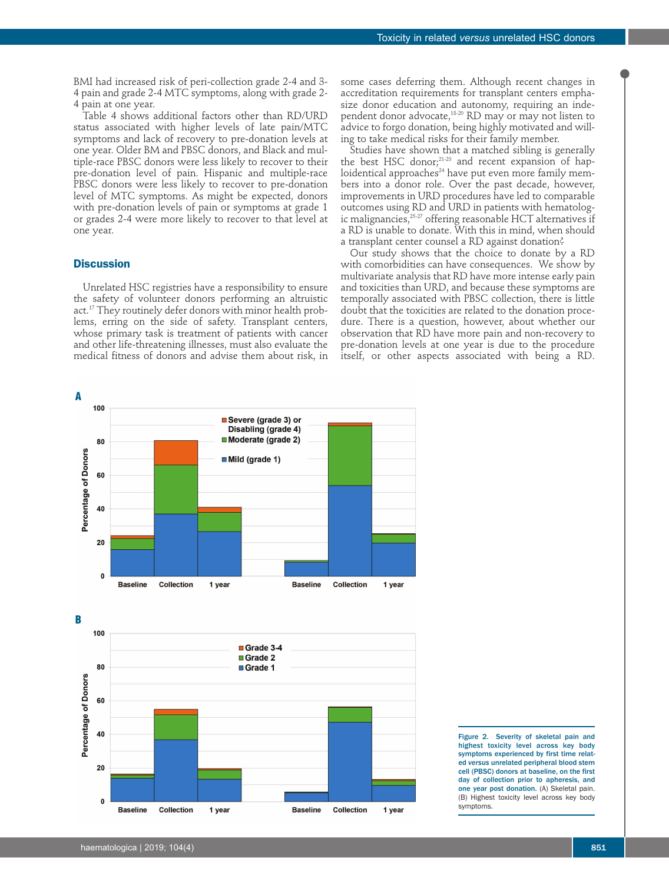BMI had increased risk of peri-collection grade 2-4 and 3- 4 pain and grade 2-4 MTC symptoms, along with grade 2- 4 pain at one year.

Table 4 shows additional factors other than RD/URD status associated with higher levels of late pain/MTC symptoms and lack of recovery to pre-donation levels at one year. Older BM and PBSC donors, and Black and multiple-race PBSC donors were less likely to recover to their pre-donation level of pain. Hispanic and multiple-race PBSC donors were less likely to recover to pre-donation level of MTC symptoms. As might be expected, donors with pre-donation levels of pain or symptoms at grade 1 or grades 2-4 were more likely to recover to that level at one year.

# **Discussion**

Unrelated HSC registries have a responsibility to ensure the safety of volunteer donors performing an altruistic act.<sup>17</sup> They routinely defer donors with minor health problems, erring on the side of safety. Transplant centers, whose primary task is treatment of patients with cancer and other life-threatening illnesses, must also evaluate the medical fitness of donors and advise them about risk, in

some cases deferring them. Although recent changes in accreditation requirements for transplant centers emphasize donor education and autonomy, requiring an independent donor advocate,18-20 RD may or may not listen to advice to forgo donation, being highly motivated and willing to take medical risks for their family member.

Studies have shown that a matched sibling is generally the best HSC donor; $^{21-23}$  and recent expansion of haploidentical approaches<sup>24</sup> have put even more family members into a donor role. Over the past decade, however, improvements in URD procedures have led to comparable outcomes using RD and URD in patients with hematologic malignancies,  $^{25\cdot27}$  offering reasonable HCT alternatives if a RD is unable to donate. With this in mind, when should a transplant center counsel a RD against donation?

Our study shows that the choice to donate by a RD with comorbidities can have consequences. We show by multivariate analysis that RD have more intense early pain and toxicities than URD, and because these symptoms are temporally associated with PBSC collection, there is little doubt that the toxicities are related to the donation procedure. There is a question, however, about whether our observation that RD have more pain and non-recovery to pre-donation levels at one year is due to the procedure itself, or other aspects associated with being a RD.



Figure 2. Severity of skeletal pain and highest toxicity level across key body symptoms experienced by first time related *versus* unrelated peripheral blood stem cell (PBSC) donors at baseline, on the first day of collection prior to apheresis, and one year post donation. (A) Skeletal pain. (B) Highest toxicity level across key body symptoms.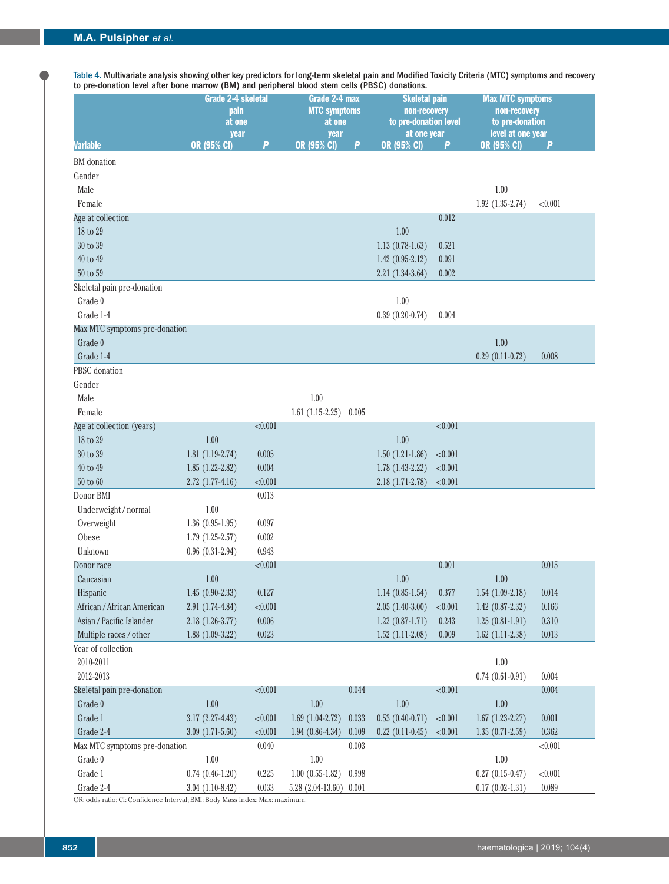Table 4. Multivariate analysis showing other key predictors for long-term skeletal pain and Modified Toxicity Criteria (MTC) symptoms and recovery to pre-donation level after bone marrow (BM) and peripheral blood stem cells (PBSC) donations.

|                               | <b>Grade 2-4 skeletal</b><br>pain<br>at one |            | Grade 2-4 max<br><b>MTC symptoms</b><br>at one | <b>Skeletal pain</b><br>non-recovery<br>to pre-donation level |                            |            | <b>Max MTC symptoms</b><br>non-recovery<br>to pre-donation |           |
|-------------------------------|---------------------------------------------|------------|------------------------------------------------|---------------------------------------------------------------|----------------------------|------------|------------------------------------------------------------|-----------|
| <b>Variable</b>               | year<br><b>OR (95% CI)</b>                  | P          | year<br>OR (95% CI)                            | P                                                             | at one year<br>OR (95% CI) | P          | level at one year<br>OR (95% CI)                           | P         |
| <b>BM</b> donation            |                                             |            |                                                |                                                               |                            |            |                                                            |           |
| Gender                        |                                             |            |                                                |                                                               |                            |            |                                                            |           |
| Male                          |                                             |            |                                                |                                                               |                            |            | $1.00$                                                     |           |
| Female                        |                                             |            |                                                |                                                               |                            |            | $1.92(1.35-2.74)$                                          | < 0.001   |
| Age at collection             |                                             |            |                                                |                                                               |                            | 0.012      |                                                            |           |
| 18 to 29                      |                                             |            |                                                |                                                               | $1.00$                     |            |                                                            |           |
| 30 to 39                      |                                             |            |                                                |                                                               | $1.13(0.78-1.63)$          | 0.521      |                                                            |           |
| 40 to 49                      |                                             |            |                                                |                                                               | $1.42(0.95-2.12)$          | 0.091      |                                                            |           |
| 50 to 59                      |                                             |            |                                                |                                                               | $2.21(1.34-3.64)$          | 0.002      |                                                            |           |
| Skeletal pain pre-donation    |                                             |            |                                                |                                                               |                            |            |                                                            |           |
| Grade 0                       |                                             |            |                                                |                                                               | 1.00                       |            |                                                            |           |
| Grade 1-4                     |                                             |            |                                                |                                                               | $0.39(0.20-0.74)$          | 0.004      |                                                            |           |
| Max MTC symptoms pre-donation |                                             |            |                                                |                                                               |                            |            |                                                            |           |
| Grade 0                       |                                             |            |                                                |                                                               |                            |            | 1.00                                                       |           |
| Grade 1-4                     |                                             |            |                                                |                                                               |                            |            | $0.29(0.11-0.72)$                                          | 0.008     |
| PBSC donation                 |                                             |            |                                                |                                                               |                            |            |                                                            |           |
| Gender                        |                                             |            |                                                |                                                               |                            |            |                                                            |           |
| Male                          |                                             |            | 1.00                                           |                                                               |                            |            |                                                            |           |
| Female                        |                                             |            | $1.61(1.15-2.25)$                              | 0.005                                                         |                            |            |                                                            |           |
| Age at collection (years)     |                                             | < 0.001    |                                                |                                                               |                            | < 0.001    |                                                            |           |
| 18 to 29                      | 1.00                                        |            |                                                |                                                               | 1.00                       |            |                                                            |           |
| 30 to 39                      | $1.81(1.19-2.74)$                           | 0.005      |                                                |                                                               | $1.50(1.21-1.86)$          | < 0.001    |                                                            |           |
| 40 to 49                      | $1.85(1.22-2.82)$                           | 0.004      |                                                |                                                               | $1.78(1.43-2.22)$          | < 0.001    |                                                            |           |
| 50 to 60                      | $2.72(1.77-4.16)$                           | < 0.001    |                                                |                                                               | $2.18(1.71-2.78)$          | < 0.001    |                                                            |           |
| Donor BMI                     |                                             | 0.013      |                                                |                                                               |                            |            |                                                            |           |
| Underweight / normal          | 1.00                                        |            |                                                |                                                               |                            |            |                                                            |           |
| Overweight                    | $1.36(0.95-1.95)$                           | 0.097      |                                                |                                                               |                            |            |                                                            |           |
| Obese                         | $1.79(1.25-2.57)$                           | 0.002      |                                                |                                                               |                            |            |                                                            |           |
| Unknown                       | $0.96(0.31-2.94)$                           | 0.943      |                                                |                                                               |                            |            |                                                            |           |
| Donor race                    |                                             | < 0.001    |                                                |                                                               |                            | 0.001      |                                                            | 0.015     |
| Caucasian                     | $1.00\,$                                    |            |                                                |                                                               | $1.00\,$                   |            | $1.00\,$                                                   |           |
| Hispanic                      | $1.45(0.90-2.33)$                           | 0.127      |                                                |                                                               | $1.14(0.85-1.54)$          | 0.377      | $1.54(1.09-2.18)$                                          | 0.014     |
| African / African American    | $2.91(1.74-4.84)$                           | < 0.001    |                                                |                                                               | $2.05(1.40-3.00)$          | ${<}0.001$ | $1.42(0.87-2.32)$                                          | $0.166\,$ |
| Asian / Pacific Islander      | $2.18(1.26-3.77)$                           | 0.006      |                                                |                                                               | $1.22$ $(0.87-1.71)$       | 0.243      | $1.25(0.81-1.91)$                                          | 0.310     |
| Multiple races / other        | $1.88(1.09-3.22)$                           | 0.023      |                                                |                                                               | $1.52(1.11-2.08)$          | $0.009\,$  | $1.62$ (1.11-2.38)                                         | 0.013     |
| Year of collection            |                                             |            |                                                |                                                               |                            |            |                                                            |           |
| 2010-2011                     |                                             |            |                                                |                                                               |                            |            | $1.00\,$                                                   |           |
| 2012-2013                     |                                             |            |                                                |                                                               |                            |            | $0.74(0.61-0.91)$                                          | 0.004     |
| Skeletal pain pre-donation    |                                             | < 0.001    |                                                | 0.044                                                         |                            | < 0.001    |                                                            | 0.004     |
| Grade 0                       | $1.00$                                      |            | $1.00$                                         |                                                               | $1.00\,$                   |            | $1.00\,$                                                   |           |
| Grade 1                       | $3.17(2.27-4.43)$                           | ${<}0.001$ | $1.69(1.04-2.72)$                              | 0.033                                                         | $0.53(0.40-0.71)$          | ${<}0.001$ | $1.67(1.23-2.27)$                                          | 0.001     |
| Grade 2-4                     | $3.09(1.71-5.60)$                           | < 0.001    | $1.94(0.86-4.34)$                              | 0.109                                                         | $0.22$ $(0.11 - 0.45)$     | < 0.001    | $1.35(0.71-2.59)$                                          | 0.362     |
| Max MTC symptoms pre-donation |                                             | 0.040      |                                                | 0.003                                                         |                            |            |                                                            | < 0.001   |
| Grade 0                       | $1.00$                                      |            | $1.00$                                         |                                                               |                            |            | $1.00\,$                                                   |           |
| Grade 1                       | $0.74$ $(0.46-1.20)$                        | 0.225      | $1.00(0.55-1.82)$                              | 0.998                                                         |                            |            | $0.27$ $(0.15 - 0.47)$                                     | < 0.001   |
| Grade 2-4                     | $3.04(1.10-8.42)$                           | 0.033      | $5.28(2.04-13.60)$                             | 0.001                                                         |                            |            | $0.17(0.02 - 1.31)$                                        | 0.089     |

OR: odds ratio; CI: Confidence Interval; BMI: Body Mass Index; Max: maximum.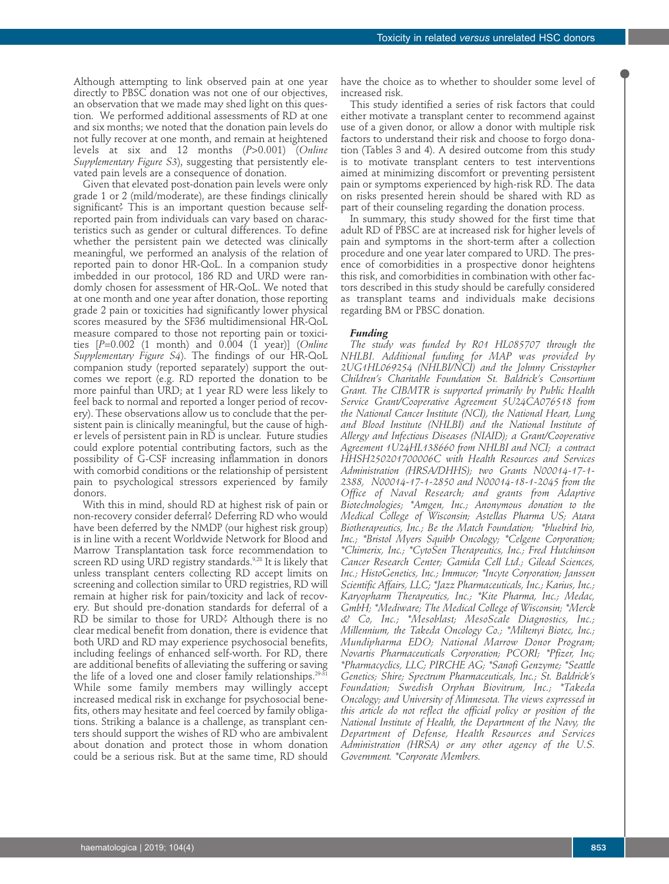Although attempting to link observed pain at one year directly to PBSC donation was not one of our objectives, an observation that we made may shed light on this question. We performed additional assessments of RD at one and six months; we noted that the donation pain levels do not fully recover at one month, and remain at heightened levels at six and 12 months (*P*>0.001) (*Online Supplementary Figure S3*), suggesting that persistently elevated pain levels are a consequence of donation.

Given that elevated post-donation pain levels were only grade 1 or 2 (mild/moderate), are these findings clinically significant? This is an important question because selfreported pain from individuals can vary based on characteristics such as gender or cultural differences. To define whether the persistent pain we detected was clinically meaningful, we performed an analysis of the relation of reported pain to donor HR-QoL. In a companion study imbedded in our protocol, 186 RD and URD were randomly chosen for assessment of HR-QoL. We noted that at one month and one year after donation, those reporting grade 2 pain or toxicities had significantly lower physical scores measured by the SF36 multidimensional HR-QoL measure compared to those not reporting pain or toxicities [*P*=0.002 (1 month) and 0.004 (1 year)] (*Online Supplementary Figure S4*). The findings of our HR-QoL companion study (reported separately) support the outcomes we report (e.g. RD reported the donation to be more painful than URD; at 1 year RD were less likely to feel back to normal and reported a longer period of recovery). These observations allow us to conclude that the persistent pain is clinically meaningful, but the cause of higher levels of persistent pain in RD is unclear. Future studies could explore potential contributing factors, such as the possibility of G-CSF increasing inflammation in donors with comorbid conditions or the relationship of persistent pain to psychological stressors experienced by family donors.

With this in mind, should RD at highest risk of pain or non-recovery consider deferral? Deferring RD who would have been deferred by the NMDP (our highest risk group) is in line with a recent Worldwide Network for Blood and Marrow Transplantation task force recommendation to screen RD using URD registry standards.<sup>9,28</sup> It is likely that unless transplant centers collecting RD accept limits on screening and collection similar to URD registries, RD will remain at higher risk for pain/toxicity and lack of recovery. But should pre-donation standards for deferral of a RD be similar to those for URD? Although there is no clear medical benefit from donation, there is evidence that both URD and RD may experience psychosocial benefits, including feelings of enhanced self-worth. For RD, there are additional benefits of alleviating the suffering or saving the life of a loved one and closer family relationships. $^{29\cdot31}$ While some family members may willingly accept increased medical risk in exchange for psychosocial benefits, others may hesitate and feel coerced by family obligations. Striking a balance is a challenge, as transplant centers should support the wishes of RD who are ambivalent about donation and protect those in whom donation could be a serious risk. But at the same time, RD should

have the choice as to whether to shoulder some level of increased risk.

This study identified a series of risk factors that could either motivate a transplant center to recommend against use of a given donor, or allow a donor with multiple risk factors to understand their risk and choose to forgo donation (Tables 3 and 4). A desired outcome from this study is to motivate transplant centers to test interventions aimed at minimizing discomfort or preventing persistent pain or symptoms experienced by high-risk RD. The data on risks presented herein should be shared with RD as part of their counseling regarding the donation process.

In summary, this study showed for the first time that adult RD of PBSC are at increased risk for higher levels of pain and symptoms in the short-term after a collection procedure and one year later compared to URD. The presence of comorbidities in a prospective donor heightens this risk, and comorbidities in combination with other factors described in this study should be carefully considered as transplant teams and individuals make decisions regarding BM or PBSC donation.

### *Funding*

*The study was funded by R01 HL085707 through the NHLBI. Additional funding for MAP was provided by 2UG1HL069254 (NHLBI/NCI) and the Johnny Crisstopher Children's Charitable Foundation St. Baldrick's Consortium Grant. The CIBMTR is supported primarily by Public Health Service Grant/Cooperative Agreement 5U24CA076518 from the National Cancer Institute (NCI), the National Heart, Lung and Blood Institute (NHLBI) and the National Institute of Allergy and Infectious Diseases (NIAID); a Grant/Cooperative Agreement 1U24HL138660 from NHLBI and NCI; a contract HHSH250201700006C with Health Resources and Services Administration (HRSA/DHHS); two Grants N00014-17-1- 2388, N00014-17-1-2850 and N00014-18-1-2045 from the Office of Naval Research; and grants from Adaptive Biotechnologies; \*Amgen, Inc.; Anonymous donation to the Medical College of Wisconsin; Astellas Pharma US; Atara Biotherapeutics, Inc.; Be the Match Foundation; \*bluebird bio, Inc.; \*Bristol Myers Squibb Oncology; \*Celgene Corporation; \*Chimerix, Inc.; \*CytoSen Therapeutics, Inc.; Fred Hutchinson Cancer Research Center; Gamida Cell Ltd.; Gilead Sciences, Inc.; HistoGenetics, Inc.; Immucor; \*Incyte Corporation; Janssen Scientific Affairs, LLC; \*Jazz Pharmaceuticals, Inc.; Karius, Inc.; Karyopharm Therapeutics, Inc.; \*Kite Pharma, Inc.; Medac, GmbH; \*Mediware; The Medical College of Wisconsin; \*Merck & Co, Inc.; \*Mesoblast; MesoScale Diagnostics, Inc.; Millennium, the Takeda Oncology Co.; \*Miltenyi Biotec, Inc.; Mundipharma EDO; National Marrow Donor Program; Novartis Pharmaceuticals Corporation; PCORI; \*Pfizer, Inc; \*Pharmacyclics, LLC; PIRCHE AG; \*Sanofi Genzyme; \*Seattle Genetics; Shire; Spectrum Pharmaceuticals, Inc.; St. Baldrick's Foundation; Swedish Orphan Biovitrum, Inc.; \*Takeda Oncology; and University of Minnesota. The views expressed in this article do not reflect the official policy or position of the National Institute of Health, the Department of the Navy, the Department of Defense, Health Resources and Services Administration (HRSA) or any other agency of the U.S. Government. \*Corporate Members.*